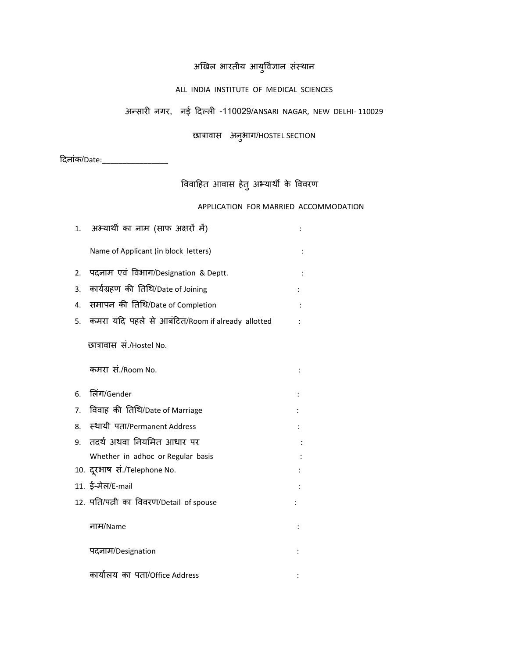## अखिल भारतीय आयुर्विज्ञान संस्थान

### ALL INDIA INSTITUTE OF MEDICAL SCIENCES

## अन्सायी नगय, नई ददल्री -110029/ANSARI NAGAR, NEW DELHI- 110029

## छात्रावास अनुबाग/HOSTEL SECTION

दिनांक/Date:\_\_\_\_\_\_\_\_\_\_\_\_\_\_\_\_

# विवाहित आवास हेतु अभ्यार्थी के विवरण

### APPLICATION FOR MARRIED ACCOMMODATION

| 1. | अभ्यार्थी का नाम (साफ अक्षरों में)               |   |
|----|--------------------------------------------------|---|
|    | Name of Applicant (in block letters)             |   |
| 2. | पदनाम एवं विभाग/Designation & Deptt.             |   |
| 3. | कार्यग्रहण की तिथि/Date of Joining               |   |
| 4. | समापन की तिथि/Date of Completion                 |   |
| 5. | कमरा यदि पहले से आबंटित/Room if already allotted |   |
|    | छात्रावास सं./Hostel No.                         |   |
|    | कमरा सं./Room No.                                |   |
| 6. | लिंग/Gender                                      |   |
| 7. | विवाह की तिथि/Date of Marriage                   |   |
| 8. | स्थायी पता/Permanent Address                     |   |
| 9. | तदर्थ अथवा नियमित आधार पर                        |   |
|    | Whether in adhoc or Regular basis                |   |
|    | 10. दूरभाष सं./Telephone No.                     |   |
|    | 11. ई-मेल/E-mail                                 |   |
|    | 12. पति/पत्नी का विवरण/Detail of spouse          | ÷ |
|    | नाम/Name                                         |   |
|    | पदनाम/Designation                                |   |
|    | कार्यालय का पता/Office Address                   |   |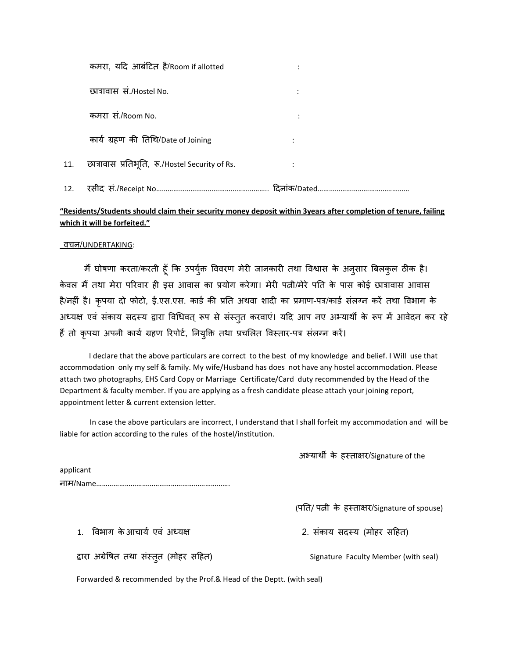|     | कमरा, यदि आबंटित है/Room if allotted            |   |
|-----|-------------------------------------------------|---|
|     | छात्रावास सं./Hostel No.                        | ٠ |
|     | कमरा सं./Room No.                               |   |
|     | कार्य ग्रहण की तिथि/Date of Joining             |   |
| 11. | छात्रावास प्रतिभूति, रू./Hostel Security of Rs. |   |
| 12. |                                                 |   |

### **"Residents/Students should claim their security money deposit within 3years after completion of tenure, failing which it will be forfeited."**

#### वचन/UNDERTAKING:

मैं घोषणा करता/करती हूँ कि उपर्युक्त विवरण मेरी जानकारी तथा विश्वास के अनुसार बिलकुल ठीक है। केवल मैं तथा मेरा परिवार ही इस आवास का प्रयोग करेगा। मेरी पत्नी/मेरे पति के पास कोई छात्रावास आवास है/नहीं है। कृपया दो फोटो, ई.एस.एस. कार्ड की प्रति अथवा शादी का प्रमाण-पत्र/कार्ड संलग्न करें तथा विभाग के अध्यक्ष एवं संकाय सदस्य द्वारा विधिवत् रूप से संस्तुत करवाएं। यदि आप नए अभ्यार्थी के रूप में आवेदन कर रहे हैं तो कृपया अपनी कार्य ग्रहण रिपोर्ट, नियुक्ति तथा प्रचलित विस्तार-पत्र संलग्न करें।

 I declare that the above particulars are correct to the best of my knowledge and belief. I Will use that accommodation only my self & family. My wife/Husband has does not have any hostel accommodation. Please attach two photographs, EHS Card Copy or Marriage Certificate/Card duty recommended by the Head of the Department & faculty member. If you are applying as a fresh candidate please attach your joining report, appointment letter & current extension letter.

In case the above particulars are incorrect, I understand that I shall forfeit my accommodation and will be liable for action according to the rules of the hostel/institution.

अभ्यार्थी के हस्ताक्षर/Signature of the

applicant नाभ/Name…………………………………………………………….

(पति/ पत्नी के हस्ताक्षर/Signature of spouse)

1. विभाग केआचार्य एवं अध्यक्ष का स्थान करने 2. संकाय सदस्य (मोहर सहित)

द्वाया अग्रेर्षत तथा सॊस्तुत (भोहय सदहत) Signature Faculty Member (with seal)

Forwarded & recommended by the Prof.& Head of the Deptt. (with seal)